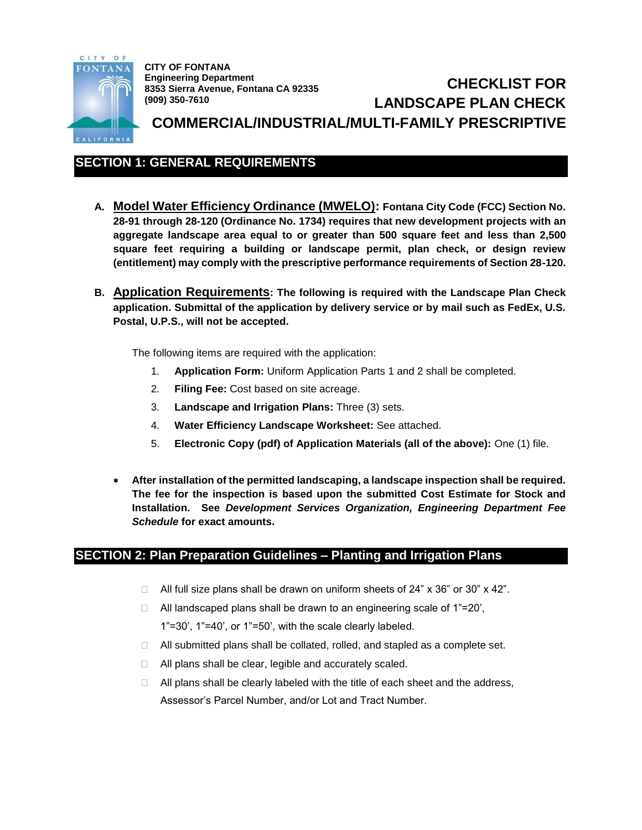

**CITY OF FONTANA Engineering Department 8353 Sierra Avenue, Fontana CA 92335 (909) 350-7610**

# **CHECKLIST FOR LANDSCAPE PLAN CHECK COMMERCIAL/INDUSTRIAL/MULTI-FAMILY PRESCRIPTIVE**

## **SECTION 1: GENERAL REQUIREMENTS**

- **A. Model Water Efficiency Ordinance (MWELO): Fontana City Code (FCC) Section No. 28-91 through 28-120 (Ordinance No. 1734) requires that new development projects with an aggregate landscape area equal to or greater than 500 square feet and less than 2,500 square feet requiring a building or landscape permit, plan check, or design review (entitlement) may comply with the prescriptive performance requirements of Section 28-120.**
- **B. Application Requirements: The following is required with the Landscape Plan Check application. Submittal of the application by delivery service or by mail such as FedEx, U.S. Postal, U.P.S., will not be accepted.**

The following items are required with the application:

- 1. **Application Form:** Uniform Application Parts 1 and 2 shall be completed.
- 2. **Filing Fee:** Cost based on site acreage.
- 3. **Landscape and Irrigation Plans:** Three (3) sets.
- 4. **Water Efficiency Landscape Worksheet:** See attached.
- 5. **Electronic Copy (pdf) of Application Materials (all of the above):** One (1) file.
- **After installation of the permitted landscaping, a landscape inspection shall be required. The fee for the inspection is based upon the submitted Cost Estimate for Stock and Installation. See** *Development Services Organization, Engineering Department Fee Schedule* **for exact amounts.**

## **SECTION 2: Plan Preparation Guidelines – Planting and Irrigation Plans**

- $\Box$  All full size plans shall be drawn on uniform sheets of 24" x 36" or 30" x 42".
- $\Box$  All landscaped plans shall be drawn to an engineering scale of 1"=20', 1"=30', 1"=40', or 1"=50', with the scale clearly labeled.
- □ All submitted plans shall be collated, rolled, and stapled as a complete set.
- $\Box$  All plans shall be clear, legible and accurately scaled.
- $\Box$  All plans shall be clearly labeled with the title of each sheet and the address, Assessor's Parcel Number, and/or Lot and Tract Number.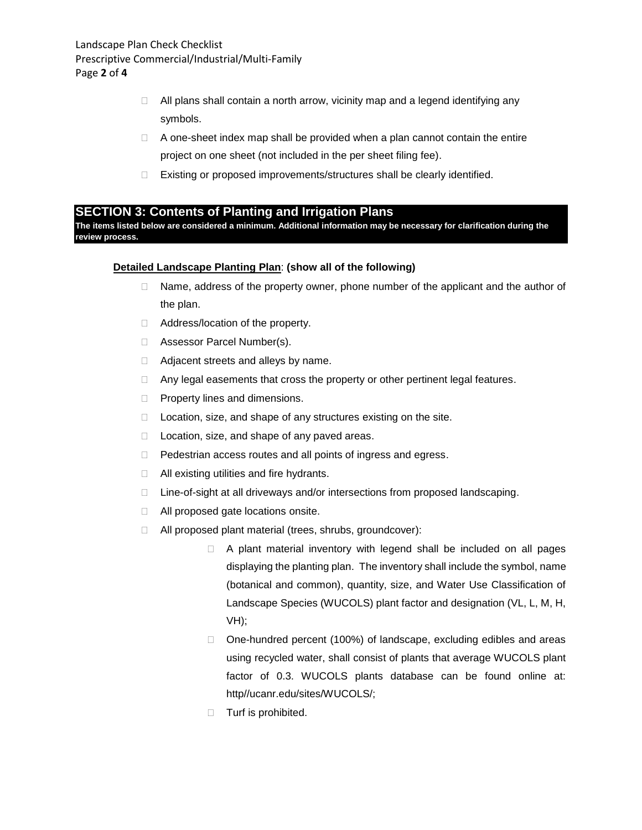- $\Box$  All plans shall contain a north arrow, vicinity map and a legend identifying any symbols.
- $\Box$  A one-sheet index map shall be provided when a plan cannot contain the entire project on one sheet (not included in the per sheet filing fee).
- □ Existing or proposed improvements/structures shall be clearly identified.

#### **SECTION 3: Contents of Planting and Irrigation Plans**

**The items listed below are considered a minimum. Additional information may be necessary for clarification during the review process.**

#### **Detailed Landscape Planting Plan**: **(show all of the following)**

- $\Box$  Name, address of the property owner, phone number of the applicant and the author of the plan.
- □ Address/location of the property.
- □ Assessor Parcel Number(s).
- □ Adjacent streets and alleys by name.
- □ Any legal easements that cross the property or other pertinent legal features.
- $\Box$  Property lines and dimensions.
- $\Box$  Location, size, and shape of any structures existing on the site.
- $\Box$  Location, size, and shape of any paved areas.
- D Pedestrian access routes and all points of ingress and egress.
- $\Box$  All existing utilities and fire hydrants.
- □ Line-of-sight at all driveways and/or intersections from proposed landscaping.
- □ All proposed gate locations onsite.
- All proposed plant material (trees, shrubs, groundcover):
	- $\Box$  A plant material inventory with legend shall be included on all pages displaying the planting plan. The inventory shall include the symbol, name (botanical and common), quantity, size, and Water Use Classification of Landscape Species (WUCOLS) plant factor and designation (VL, L, M, H, VH);
	- □ One-hundred percent (100%) of landscape, excluding edibles and areas using recycled water, shall consist of plants that average WUCOLS plant factor of 0.3. WUCOLS plants database can be found online at: http//ucanr.edu/sites/WUCOLS/;
	- **Turf is prohibited.**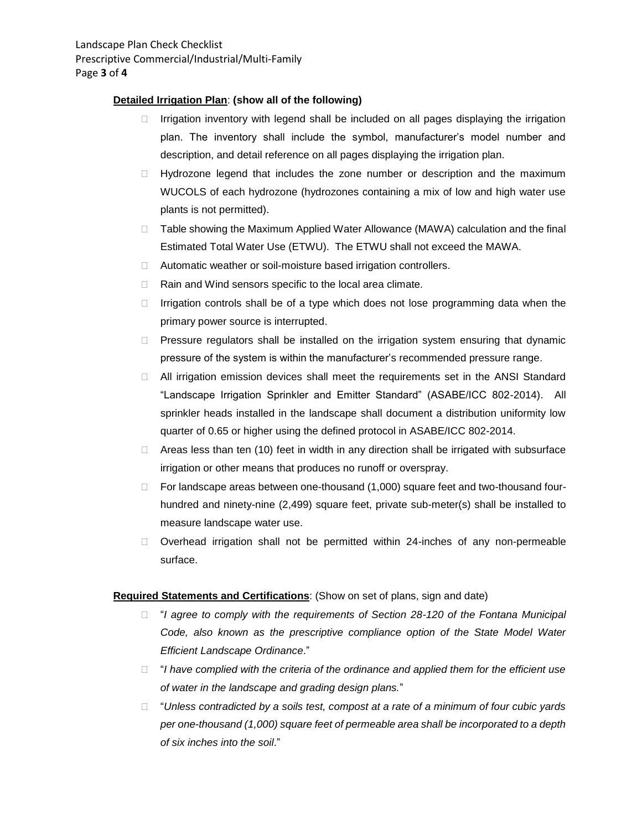#### **Detailed Irrigation Plan**: **(show all of the following)**

- $\Box$  Irrigation inventory with legend shall be included on all pages displaying the irrigation plan. The inventory shall include the symbol, manufacturer's model number and description, and detail reference on all pages displaying the irrigation plan.
- $\Box$  Hydrozone legend that includes the zone number or description and the maximum WUCOLS of each hydrozone (hydrozones containing a mix of low and high water use plants is not permitted).
- $\Box$  Table showing the Maximum Applied Water Allowance (MAWA) calculation and the final Estimated Total Water Use (ETWU). The ETWU shall not exceed the MAWA.
- □ Automatic weather or soil-moisture based irrigation controllers.
- $\Box$  Rain and Wind sensors specific to the local area climate.
- $\Box$  Irrigation controls shall be of a type which does not lose programming data when the primary power source is interrupted.
- $\Box$  Pressure regulators shall be installed on the irrigation system ensuring that dynamic pressure of the system is within the manufacturer's recommended pressure range.
- □ All irrigation emission devices shall meet the requirements set in the ANSI Standard "Landscape Irrigation Sprinkler and Emitter Standard" (ASABE/ICC 802-2014). All sprinkler heads installed in the landscape shall document a distribution uniformity low quarter of 0.65 or higher using the defined protocol in ASABE/ICC 802-2014.
- $\Box$  Areas less than ten (10) feet in width in any direction shall be irrigated with subsurface irrigation or other means that produces no runoff or overspray.
- $\Box$  For landscape areas between one-thousand (1,000) square feet and two-thousand fourhundred and ninety-nine (2,499) square feet, private sub-meter(s) shall be installed to measure landscape water use.
- Overhead irrigation shall not be permitted within 24-inches of any non-permeable surface.

#### **Required Statements and Certifications**: (Show on set of plans, sign and date)

- □ "*I agree to comply with the requirements of Section 28-120 of the Fontana Municipal Code, also known as the prescriptive compliance option of the State Model Water Efficient Landscape Ordinance*."
- "*I have complied with the criteria of the ordinance and applied them for the efficient use of water in the landscape and grading design plans.*"
- "*Unless contradicted by a soils test, compost at a rate of a minimum of four cubic yards per one-thousand (1,000) square feet of permeable area shall be incorporated to a depth of six inches into the soil*."